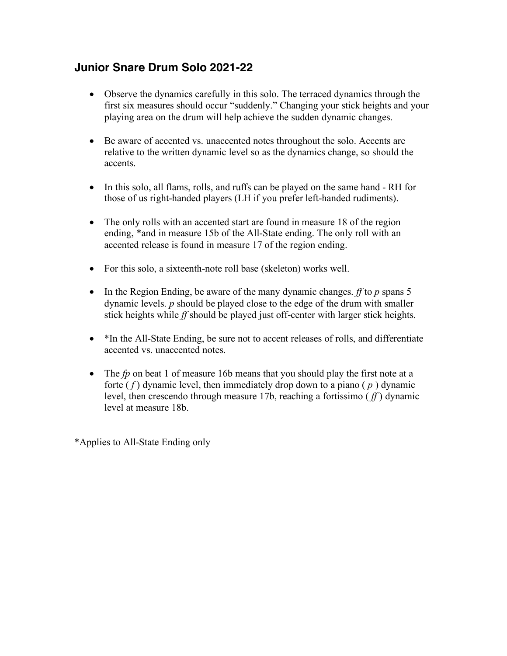## **Junior Snare Drum Solo 2021-22**

- Observe the dynamics carefully in this solo. The terraced dynamics through the first six measures should occur "suddenly." Changing your stick heights and your playing area on the drum will help achieve the sudden dynamic changes.
- Be aware of accented vs. unaccented notes throughout the solo. Accents are relative to the written dynamic level so as the dynamics change, so should the accents.
- In this solo, all flams, rolls, and ruffs can be played on the same hand RH for those of us right-handed players (LH if you prefer left-handed rudiments).
- The only rolls with an accented start are found in measure 18 of the region ending, \*and in measure 15b of the All-State ending. The only roll with an accented release is found in measure 17 of the region ending.
- For this solo, a sixteenth-note roll base (skeleton) works well.
- In the Region Ending, be aware of the many dynamic changes. *ff* to *p* spans 5 dynamic levels. *p* should be played close to the edge of the drum with smaller stick heights while *ff* should be played just off-center with larger stick heights.
- \*In the All-State Ending, be sure not to accent releases of rolls, and differentiate accented vs. unaccented notes.
- The *fp* on beat 1 of measure 16b means that you should play the first note at a forte  $(f)$  dynamic level, then immediately drop down to a piano  $(p)$  dynamic level, then crescendo through measure 17b, reaching a fortissimo ( *ff* ) dynamic level at measure 18b.

\*Applies to All-State Ending only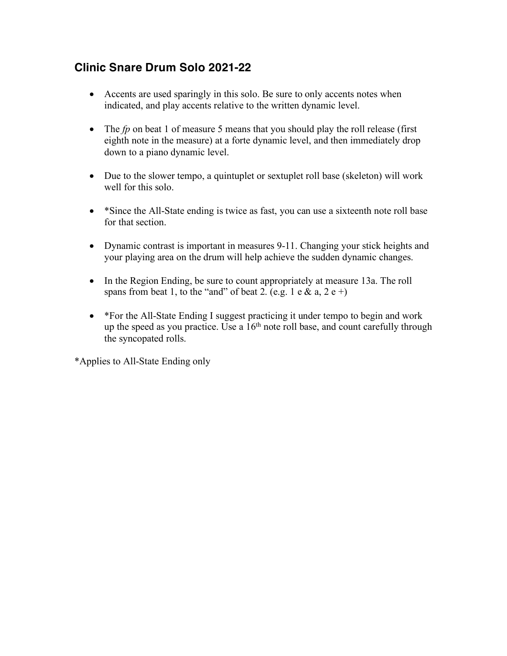## **Clinic Snare Drum Solo 2021-22**

- Accents are used sparingly in this solo. Be sure to only accents notes when indicated, and play accents relative to the written dynamic level.
- The *fp* on beat 1 of measure 5 means that you should play the roll release (first eighth note in the measure) at a forte dynamic level, and then immediately drop down to a piano dynamic level.
- Due to the slower tempo, a quintuplet or sextuplet roll base (skeleton) will work well for this solo.
- \*Since the All-State ending is twice as fast, you can use a sixteenth note roll base for that section.
- Dynamic contrast is important in measures 9-11. Changing your stick heights and your playing area on the drum will help achieve the sudden dynamic changes.
- In the Region Ending, be sure to count appropriately at measure 13a. The roll spans from beat 1, to the "and" of beat 2. (e.g. 1 e & a, 2 e +)
- \*For the All-State Ending I suggest practicing it under tempo to begin and work up the speed as you practice. Use a  $16<sup>th</sup>$  note roll base, and count carefully through the syncopated rolls.

\*Applies to All-State Ending only